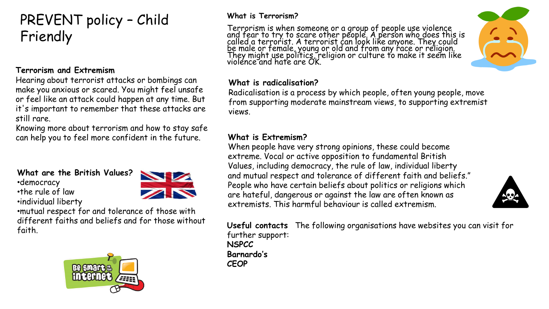# PREVENT policy – Child Friendly

#### **Terrorism and Extremism**

Hearing about terrorist attacks or bombings can make you anxious or scared. You might feel unsafe or feel like an attack could happen at any time. But it's important to remember that these attacks are still rare.

Knowing more about terrorism and how to stay safe can help you to feel more confident in the future.

#### **What are the British Values?**

•democracy •the rule of law

•individual liberty



•mutual respect for and tolerance of those with different faiths and beliefs and for those without



#### **What is Terrorism?**

Terrorism is when someone or a group of people use violence and fear to try to scare other people. A person who does this is called a terrorist. A terrorist can look like anyone. They could be male or female, young or old and from any race or religion. They might use politics, religion or culture to make it seem like violence and hate are OK.



#### **What is radicalisation?**

Radicalisation is a process by which people, often young people, move from supporting moderate mainstream views, to supporting extremist views.

#### **What is Extremism?**

When people have very strong opinions, these could become extreme. Vocal or active opposition to fundamental British Values, including democracy, the rule of law, individual liberty and mutual respect and tolerance of different faith and beliefs." People who have certain beliefs about politics or religions which are hateful, dangerous or against the law are often known as extremists. This harmful behaviour is called extremism.



faith. **Useful contacts** The following organisations have websites you can visit for further support: **NSPCC Barnardo's CEOP**